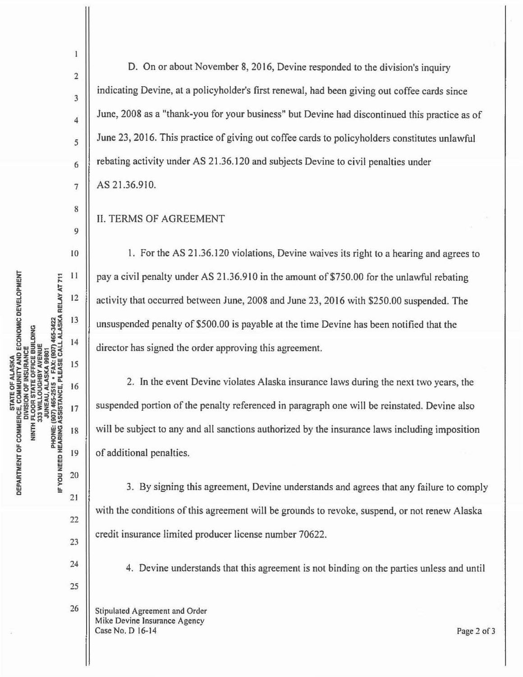2

 $\mathbf{1}$ 

3

4

5

6

7

8

9

10

 $11$ 

 $12$ 

13

14

15

16

 $17$ 

18

19

20

 $21$ 

22

23

24

25

26

D. On or about November 8, 2016, Devine responded to the division's inquiry indicating Devine, at a policyholder's first renewal, had been giving out coffee cards since June, 2008 as a "thank-you for your business" but Devine had discontinued this practice as of June 23, 2016. This practice of giving out coffee cards to policyholders constitutes unlawful rebating activity under AS 21 .36.120 and subjects Devine to civil penalties under AS 21.36.910.

## II. TERMS OF AGREEMENT

1. For the AS 21.36.120 violations, Devine waives its right to a hearing and agrees to pay a civil penalty under AS 21.36.910 in the amount of \$750.00 for the unlawful rebating activity that occurred between June, 2008 and June 23, 2016 with \$250.00 suspended. The unsuspended penalty of \$500.00 is payable at the time Devine has been notified that the director has signed the order approving this agreement.

2. In the event Devine violates Alaska insurance laws during the next two years, the suspended portion of the penalty referenced in paragraph one will be reinstated. Devine also will be subject to any and all sanctions authorized by the insurance laws including imposition of additional penalties.

3. By signing this agreement, Devine understands and agrees that any failure to comply with the conditions of this agreement will be grounds to revoke, suspend, or not renew Alaska credit insurance limited producer license number 70622.

4. Devine understands that this agreement is not binding on the parties unless and until

Stipulated Agreement and Order Mike Devine Insurance Agency Case No. D 16-14 Page 2 of 3